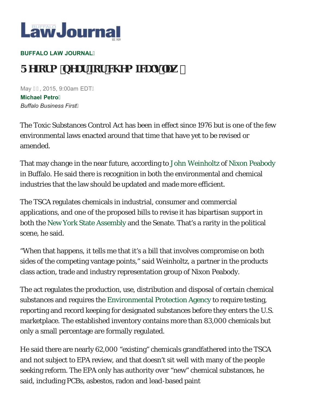

## **BUFFALO LAW JOURNAL**

## **FY&fa bYUF Xef WYa JWg"Uk '**

May G , 2015, 9:00am EDTÁ **Michael Petro** *Buffalo Business First*

The Toxic Substances Control Act has been in effect since 1976 but is one of the few environmental laws enacted around that time that have yet to be revised or amended.

That may change in the near future, according to John Weinholtz of Nixon Peabody in Buffalo. He said there is recognition in both the environmental and chemical industries that the law should be updated and made more efficient.

The TSCA regulates chemicals in industrial, consumer and commercial applications, and one of the proposed bills to revise it has bipartisan support in both the New York State Assembly and the Senate. That's a rarity in the political scene, he said.

"When that happens, it tells me that it's a bill that involves compromise on both sides of the competing vantage points," said Weinholtz, a partner in the products class action, trade and industry representation group of Nixon Peabody.

The act regulates the production, use, distribution and disposal of certain chemical substances and requires the Environmental Protection Agency to require testing, reporting and record keeping for designated substances before they enters the U.S. marketplace. The established inventory contains more than 83,000 chemicals but only a small percentage are formally regulated.

He said there are nearly 62,000 "existing" chemicals grandfathered into the TSCA and not subject to EPA review, and that doesn't sit well with many of the people seeking reform. The EPA only has authority over "new" chemical substances, he said, including PCBs, asbestos, radon and lead-based paint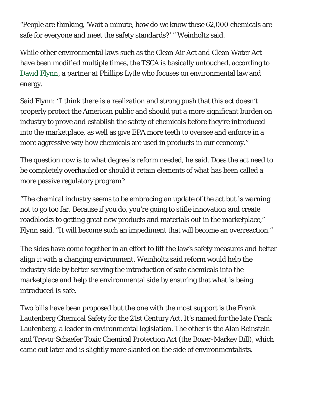"People are thinking, 'Wait a minute, how do we know these 62,000 chemicals are safe for everyone and meet the safety standards?' " Weinholtz said.

While other environmental laws such as the Clean Air Act and Clean Water Act have been modified multiple times, the TSCA is basically untouched, according to David Flynn, a partner at Phillips Lytle who focuses on environmental law and energy.

Said Flynn: "I think there is a realization and strong push that this act doesn't properly protect the American public and should put a more significant burden on industry to prove and establish the safety of chemicals before they're introduced into the marketplace, as well as give EPA more teeth to oversee and enforce in a more aggressive way how chemicals are used in products in our economy."

The question now is to what degree is reform needed, he said. Does the act need to be completely overhauled or should it retain elements of what has been called a more passive regulatory program?

"The chemical industry seems to be embracing an update of the act but is warning not to go too far. Because if you do, you're going to stifle innovation and create roadblocks to getting great new products and materials out in the marketplace," Flynn said. "It will become such an impediment that will become an overreaction."

The sides have come together in an effort to lift the law's safety measures and better align it with a changing environment. Weinholtz said reform would help the industry side by better serving the introduction of safe chemicals into the marketplace and help the environmental side by ensuring that what is being introduced is safe.

Two bills have been proposed but the one with the most support is the Frank Lautenberg Chemical Safety for the 21st Century Act. It's named for the late Frank Lautenberg, a leader in environmental legislation. The other is the Alan Reinstein and Trevor Schaefer Toxic Chemical Protection Act (the Boxer-Markey Bill), which came out later and is slightly more slanted on the side of environmentalists.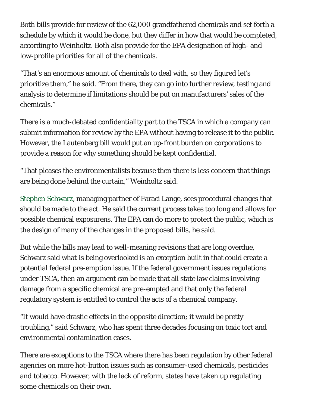Both bills provide for review of the 62,000 grandfathered chemicals and set forth a schedule by which it would be done, but they differ in how that would be completed, according to Weinholtz. Both also provide for the EPA designation of high- and low-profile priorities for all of the chemicals.

"That's an enormous amount of chemicals to deal with, so they figured let's prioritize them," he said. "From there, they can go into further review, testing and analysis to determine if limitations should be put on manufacturers' sales of the chemicals."

There is a much-debated confidentiality part to the TSCA in which a company can submit information for review by the EPA without having to release it to the public. However, the Lautenberg bill would put an up-front burden on corporations to provide a reason for why something should be kept confidential.

"That pleases the environmentalists because then there is less concern that things are being done behind the curtain," Weinholtz said.

Stephen Schwarz, managing partner of Faraci Lange, sees procedural changes that should be made to the act. He said the current process takes too long and allows for possible chemical exposurens. The EPA can do more to protect the public, which is the design of many of the changes in the proposed bills, he said.

But while the bills may lead to well-meaning revisions that are long overdue, Schwarz said what is being overlooked is an exception built in that could create a potential federal pre-emption issue. If the federal government issues regulations under TSCA, then an argument can be made that all state law claims involving damage from a specific chemical are pre-empted and that only the federal regulatory system is entitled to control the acts of a chemical company.

"It would have drastic effects in the opposite direction; it would be pretty troubling," said Schwarz, who has spent three decades focusing on toxic tort and environmental contamination cases.

There are exceptions to the TSCA where there has been regulation by other federal agencies on more hot-button issues such as consumer-used chemicals, pesticides and tobacco. However, with the lack of reform, states have taken up regulating some chemicals on their own.